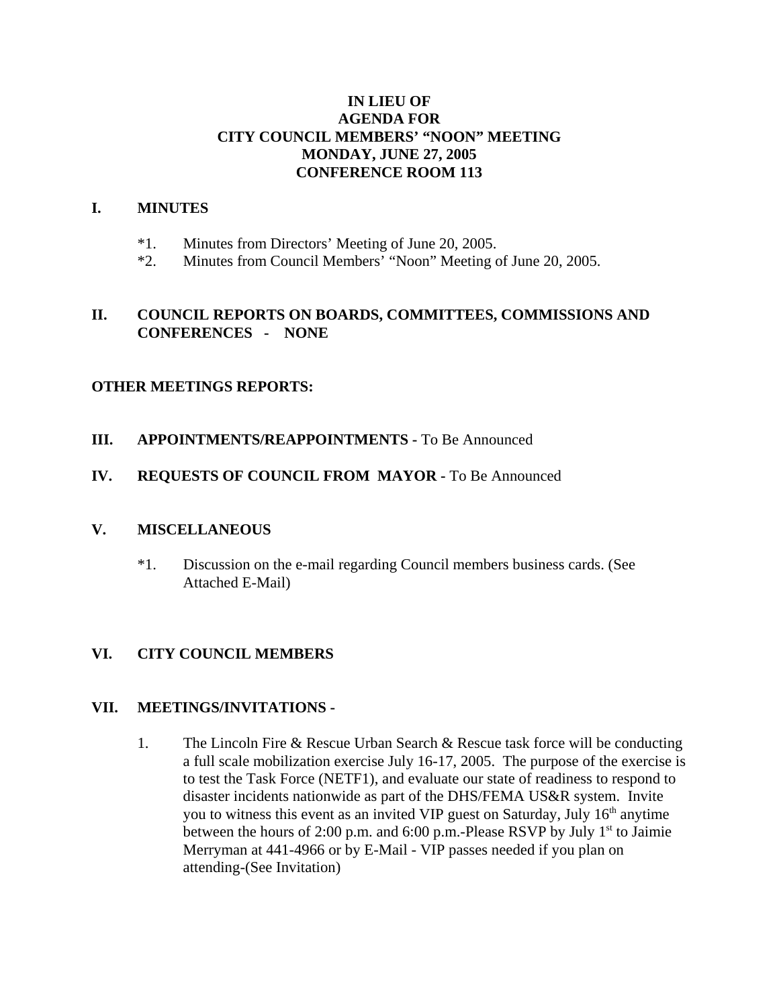# **IN LIEU OF AGENDA FOR CITY COUNCIL MEMBERS' "NOON" MEETING MONDAY, JUNE 27, 2005 CONFERENCE ROOM 113**

#### **I. MINUTES**

- \*1. Minutes from Directors' Meeting of June 20, 2005.
- \*2. Minutes from Council Members' "Noon" Meeting of June 20, 2005.

### **II. COUNCIL REPORTS ON BOARDS, COMMITTEES, COMMISSIONS AND CONFERENCES - NONE**

#### **OTHER MEETINGS REPORTS:**

## **III.** APPOINTMENTS/REAPPOINTMENTS - To Be Announced

## **IV. REQUESTS OF COUNCIL FROM MAYOR -** To Be Announced

#### **V. MISCELLANEOUS**

\*1. Discussion on the e-mail regarding Council members business cards. (See Attached E-Mail)

# **VI. CITY COUNCIL MEMBERS**

#### **VII. MEETINGS/INVITATIONS -**

1. The Lincoln Fire & Rescue Urban Search & Rescue task force will be conducting a full scale mobilization exercise July 16-17, 2005. The purpose of the exercise is to test the Task Force (NETF1), and evaluate our state of readiness to respond to disaster incidents nationwide as part of the DHS/FEMA US&R system. Invite you to witness this event as an invited VIP guest on Saturday, July  $16<sup>th</sup>$  anytime between the hours of 2:00 p.m. and 6:00 p.m.-Please RSVP by July  $1<sup>st</sup>$  to Jaimie Merryman at 441-4966 or by E-Mail - VIP passes needed if you plan on attending-(See Invitation)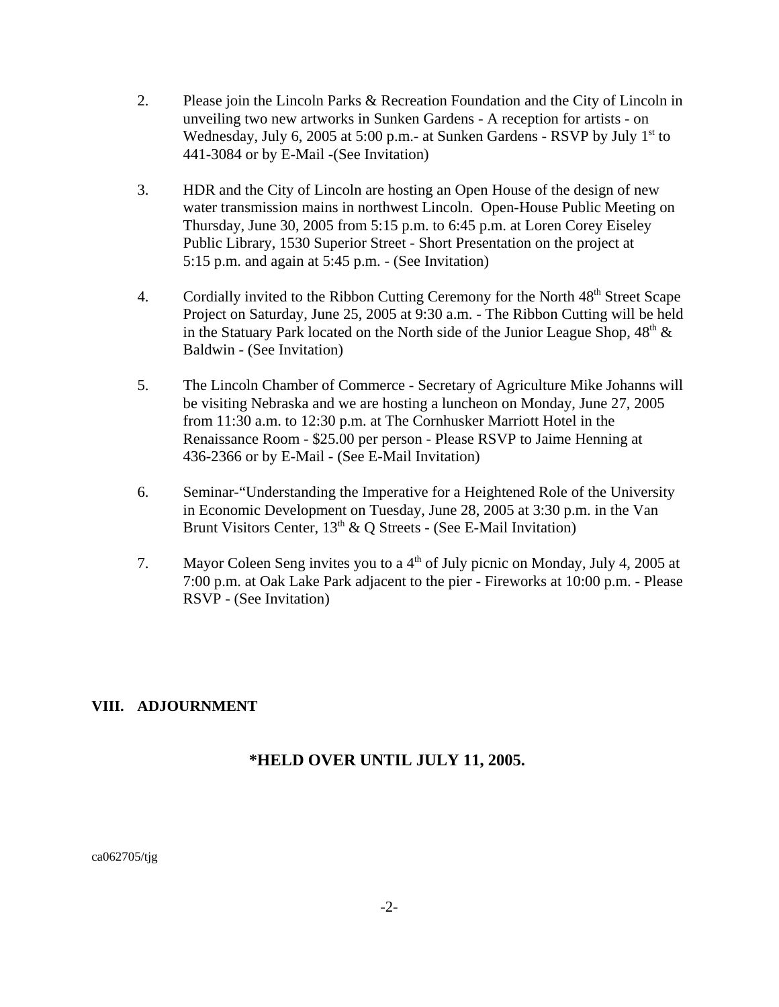- 2. Please join the Lincoln Parks & Recreation Foundation and the City of Lincoln in unveiling two new artworks in Sunken Gardens - A reception for artists - on Wednesday, July 6, 2005 at 5:00 p.m.- at Sunken Gardens - RSVP by July  $1<sup>st</sup>$  to 441-3084 or by E-Mail -(See Invitation)
- 3. HDR and the City of Lincoln are hosting an Open House of the design of new water transmission mains in northwest Lincoln. Open-House Public Meeting on Thursday, June 30, 2005 from 5:15 p.m. to 6:45 p.m. at Loren Corey Eiseley Public Library, 1530 Superior Street - Short Presentation on the project at 5:15 p.m. and again at 5:45 p.m. - (See Invitation)
- 4. Cordially invited to the Ribbon Cutting Ceremony for the North 48<sup>th</sup> Street Scape Project on Saturday, June 25, 2005 at 9:30 a.m. - The Ribbon Cutting will be held in the Statuary Park located on the North side of the Junior League Shop,  $48<sup>th</sup>$  & Baldwin - (See Invitation)
- 5. The Lincoln Chamber of Commerce Secretary of Agriculture Mike Johanns will be visiting Nebraska and we are hosting a luncheon on Monday, June 27, 2005 from 11:30 a.m. to 12:30 p.m. at The Cornhusker Marriott Hotel in the Renaissance Room - \$25.00 per person - Please RSVP to Jaime Henning at 436-2366 or by E-Mail - (See E-Mail Invitation)
- 6. Seminar-"Understanding the Imperative for a Heightened Role of the University in Economic Development on Tuesday, June 28, 2005 at 3:30 p.m. in the Van Brunt Visitors Center,  $13<sup>th</sup>$  & Q Streets - (See E-Mail Invitation)
- 7. Mayor Coleen Seng invites you to a  $4<sup>th</sup>$  of July picnic on Monday, July 4, 2005 at 7:00 p.m. at Oak Lake Park adjacent to the pier - Fireworks at 10:00 p.m. - Please RSVP - (See Invitation)

# **VIII. ADJOURNMENT**

# **\*HELD OVER UNTIL JULY 11, 2005.**

ca062705/tjg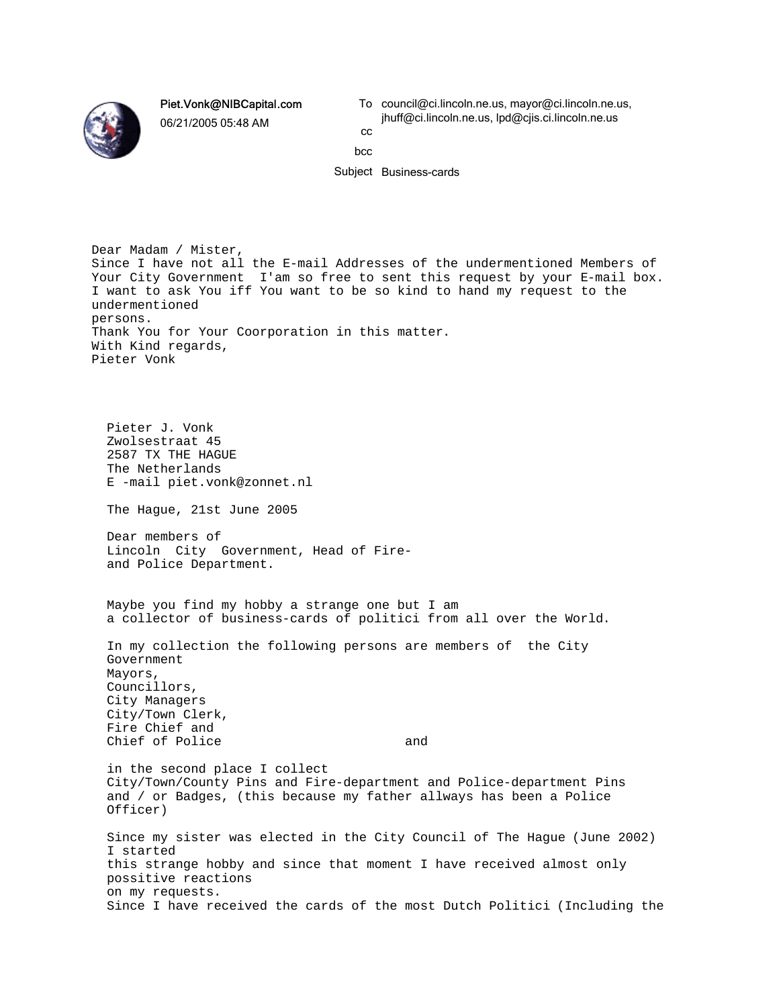Piet.Vonk@NIBCapital.com

06/21/2005 05:48 AM

To council@ci.lincoln.ne.us, mayor@ci.lincoln.ne.us, jhuff@ci.lincoln.ne.us, lpd@cjis.ci.lincoln.ne.us cc

bcc

Subject Business-cards

Dear Madam / Mister, Since I have not all the E-mail Addresses of the undermentioned Members of Your City Government I'am so free to sent this request by your E-mail box. I want to ask You iff You want to be so kind to hand my request to the undermentioned persons. Thank You for Your Coorporation in this matter. With Kind regards, Pieter Vonk

 Pieter J. Vonk Zwolsestraat 45 2587 TX THE HAGUE The Netherlands E -mail piet.vonk@zonnet.nl The Hague, 21st June 2005 Dear members of Lincoln City Government, Head of Fire and Police Department. Maybe you find my hobby a strange one but I am a collector of business-cards of politici from all over the World. In my collection the following persons are members of the City Government Mayors, Councillors, City Managers City/Town Clerk, Fire Chief and Chief of Police and in the second place I collect City/Town/County Pins and Fire-department and Police-department Pins and / or Badges, (this because my father allways has been a Police Officer) Since my sister was elected in the City Council of The Hague (June 2002) I started this strange hobby and since that moment I have received almost only possitive reactions on my requests. Since I have received the cards of the most Dutch Politici (Including the